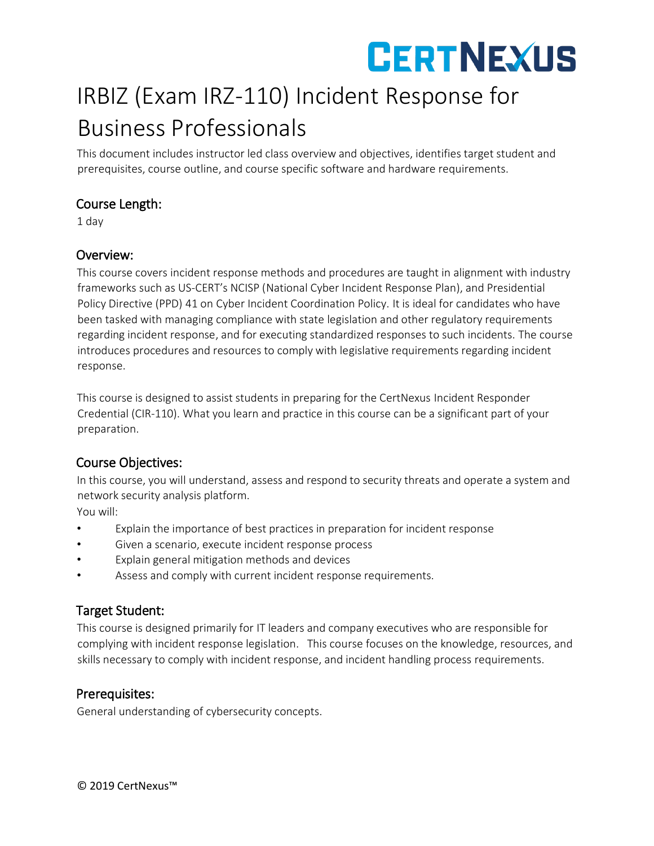# **CERTNEXUS**

# IRBIZ (Exam IRZ-110) Incident Response for Business Professionals

This document includes instructor led class overview and objectives, identifies target student and prerequisites, course outline, and course specific software and hardware requirements.

### Course Length:

1 day

### Overview:

This course covers incident response methods and procedures are taught in alignment with industry frameworks such as US-CERT's NCISP (National Cyber Incident Response Plan), and Presidential Policy Directive (PPD) 41 on Cyber Incident Coordination Policy. It is ideal for candidates who have been tasked with managing compliance with state legislation and other regulatory requirements regarding incident response, and for executing standardized responses to such incidents. The course introduces procedures and resources to comply with legislative requirements regarding incident response.

This course is designed to assist students in preparing for the CertNexus Incident Responder Credential (CIR-110). What you learn and practice in this course can be a significant part of your preparation.

# Course Objectives:

In this course, you will understand, assess and respond to security threats and operate a system and network security analysis platform.

You will:

- Explain the importance of best practices in preparation for incident response
- Given a scenario, execute incident response process
- Explain general mitigation methods and devices
- Assess and comply with current incident response requirements.

# Target Student:

This course is designed primarily for IT leaders and company executives who are responsible for complying with incident response legislation. This course focuses on the knowledge, resources, and skills necessary to comply with incident response, and incident handling process requirements.

### Prerequisites:

General understanding of cybersecurity concepts.